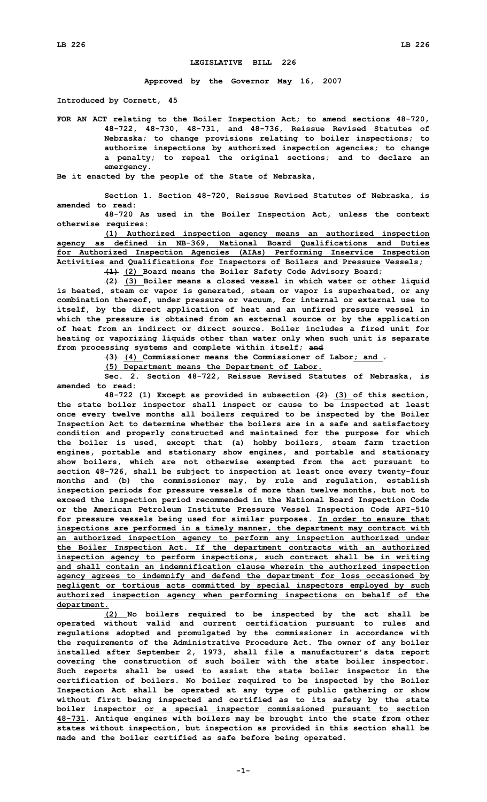## **LEGISLATIVE BILL 226**

**Approved by the Governor May 16, 2007**

**Introduced by Cornett, 45**

**FOR AN ACT relating to the Boiler Inspection Act; to amend sections 48-720, 48-722, 48-730, 48-731, and 48-736, Reissue Revised Statutes of Nebraska; to change provisions relating to boiler inspections; to authorize inspections by authorized inspection agencies; to change <sup>a</sup> penalty; to repeal the original sections; and to declare an emergency.**

**Be it enacted by the people of the State of Nebraska,**

**Section 1. Section 48-720, Reissue Revised Statutes of Nebraska, is amended to read:**

**48-720 As used in the Boiler Inspection Act, unless the context otherwise requires:**

**(1) Authorized inspection agency means an authorized inspection agency as defined in NB-369, National Board Qualifications and Duties for Authorized Inspection Agencies (AIAs) Performing Inservice Inspection Activities and Qualifications for Inspectors of Boilers and Pressure Vessels;**

**(1) (2) Board means the Boiler Safety Code Advisory Board;**

**(2) (3) Boiler means <sup>a</sup> closed vessel in which water or other liquid is heated, steam or vapor is generated, steam or vapor is superheated, or any combination thereof, under pressure or vacuum, for internal or external use to itself, by the direct application of heat and an unfired pressure vessel in which the pressure is obtained from an external source or by the application of heat from an indirect or direct source. Boiler includes a fired unit for heating or vaporizing liquids other than water only when such unit is separate from processing systems and complete within itself; and**

**(3) (4) Commissioner means the Commissioner of Labor; and .**

**(5) Department means the Department of Labor.**

**Sec. 2. Section 48-722, Reissue Revised Statutes of Nebraska, is amended to read:**

**48-722 (1) Except as provided in subsection (2) (3) of this section, the state boiler inspector shall inspect or cause to be inspected at least once every twelve months all boilers required to be inspected by the Boiler Inspection Act to determine whether the boilers are in <sup>a</sup> safe and satisfactory condition and properly constructed and maintained for the purpose for which the boiler is used, except that (a) hobby boilers, steam farm traction engines, portable and stationary show engines, and portable and stationary show boilers, which are not otherwise exempted from the act pursuant to section 48-726, shall be subject to inspection at least once every twenty-four months and (b) the commissioner may, by rule and regulation, establish inspection periods for pressure vessels of more than twelve months, but not to exceed the inspection period recommended in the National Board Inspection Code or the American Petroleum Institute Pressure Vessel Inspection Code API-510 for pressure vessels being used for similar purposes. In order to ensure that inspections are performed in <sup>a</sup> timely manner, the department may contract with an authorized inspection agency to perform any inspection authorized under the Boiler Inspection Act. If the department contracts with an authorized inspection agency to perform inspections, such contract shall be in writing and shall contain an indemnification clause wherein the authorized inspection agency agrees to indemnify and defend the department for loss occasioned by negligent or tortious acts committed by special inspectors employed by such authorized inspection agency when performing inspections on behalf of the department.**

**(2) No boilers required to be inspected by the act shall be operated without valid and current certification pursuant to rules and regulations adopted and promulgated by the commissioner in accordance with the requirements of the Administrative Procedure Act. The owner of any boiler installed after September 2, 1973, shall file <sup>a</sup> manufacturer's data report covering the construction of such boiler with the state boiler inspector. Such reports shall be used to assist the state boiler inspector in the certification of boilers. No boiler required to be inspected by the Boiler Inspection Act shall be operated at any type of public gathering or show without first being inspected and certified as to its safety by the state boiler inspector or <sup>a</sup> special inspector commissioned pursuant to section 48-731. Antique engines with boilers may be brought into the state from other states without inspection, but inspection as provided in this section shall be made and the boiler certified as safe before being operated.**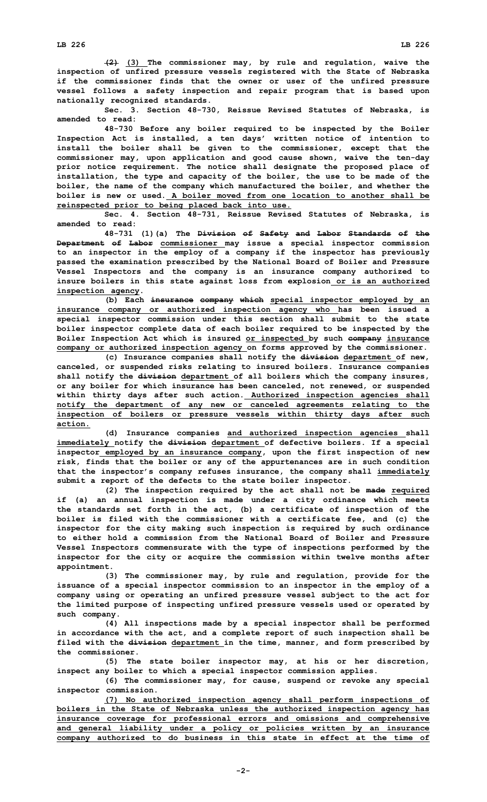**(2) (3) The commissioner may, by rule and regulation, waive the inspection of unfired pressure vessels registered with the State of Nebraska if the commissioner finds that the owner or user of the unfired pressure vessel follows <sup>a</sup> safety inspection and repair program that is based upon nationally recognized standards.**

**Sec. 3. Section 48-730, Reissue Revised Statutes of Nebraska, is amended to read:**

**48-730 Before any boiler required to be inspected by the Boiler Inspection Act is installed, <sup>a</sup> ten days' written notice of intention to install the boiler shall be given to the commissioner, except that the commissioner may, upon application and good cause shown, waive the ten-day prior notice requirement. The notice shall designate the proposed place of installation, the type and capacity of the boiler, the use to be made of the boiler, the name of the company which manufactured the boiler, and whether the boiler is new or used. A boiler moved from one location to another shall be reinspected prior to being placed back into use.**

**Sec. 4. Section 48-731, Reissue Revised Statutes of Nebraska, is amended to read:**

**48-731 (1)(a) The Division of Safety and Labor Standards of the Department of Labor commissioner may issue <sup>a</sup> special inspector commission to an inspector in the employ of <sup>a</sup> company if the inspector has previously passed the examination prescribed by the National Board of Boiler and Pressure Vessel Inspectors and the company is an insurance company authorized to insure boilers in this state against loss from explosion or is an authorized inspection agency.**

**(b) Each insurance company which special inspector employed by an insurance company or authorized inspection agency who has been issued <sup>a</sup> special inspector commission under this section shall submit to the state boiler inspector complete data of each boiler required to be inspected by the Boiler Inspection Act which is insured or inspected by such company insurance company or authorized inspection agency on forms approved by the commissioner.**

**(c) Insurance companies shall notify the division department of new, canceled, or suspended risks relating to insured boilers. Insurance companies shall notify the division department of all boilers which the company insures, or any boiler for which insurance has been canceled, not renewed, or suspended within thirty days after such action. Authorized inspection agencies shall notify the department of any new or canceled agreements relating to the inspection of boilers or pressure vessels within thirty days after such action.**

**(d) Insurance companies and authorized inspection agencies shall immediately notify the division department of defective boilers. If <sup>a</sup> special inspector employed by an insurance company, upon the first inspection of new risk, finds that the boiler or any of the appurtenances are in such condition that the inspector's company refuses insurance, the company shall immediately submit <sup>a</sup> report of the defects to the state boiler inspector.**

**(2) The inspection required by the act shall not be made required if (a) an annual inspection is made under <sup>a</sup> city ordinance which meets the standards set forth in the act, (b) <sup>a</sup> certificate of inspection of the boiler is filed with the commissioner with <sup>a</sup> certificate fee, and (c) the inspector for the city making such inspection is required by such ordinance to either hold a commission from the National Board of Boiler and Pressure Vessel Inspectors commensurate with the type of inspections performed by the inspector for the city or acquire the commission within twelve months after appointment.**

**(3) The commissioner may, by rule and regulation, provide for the issuance of <sup>a</sup> special inspector commission to an inspector in the employ of <sup>a</sup> company using or operating an unfired pressure vessel subject to the act for the limited purpose of inspecting unfired pressure vessels used or operated by such company.**

**(4) All inspections made by <sup>a</sup> special inspector shall be performed in accordance with the act, and <sup>a</sup> complete report of such inspection shall be filed with the division department in the time, manner, and form prescribed by the commissioner.**

**(5) The state boiler inspector may, at his or her discretion, inspect any boiler to which <sup>a</sup> special inspector commission applies.**

**(6) The commissioner may, for cause, suspend or revoke any special inspector commission.**

**(7) No authorized inspection agency shall perform inspections of boilers in the State of Nebraska unless the authorized inspection agency has insurance coverage for professional errors and omissions and comprehensive and general liability under <sup>a</sup> policy or policies written by an insurance company authorized to do business in this state in effect at the time of**